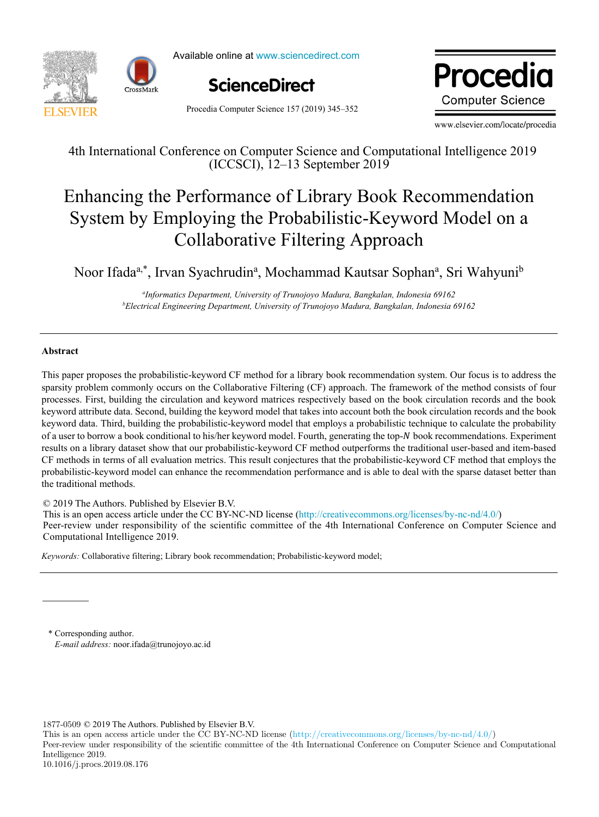

Available online at www.sciencedirect.com



Procedia Computer Science 157 (2019) 345–352

Procedia **Computer Science** 

www.elsevier.com/locate/procedia

4th International Conference on Computer Science and Computational Intelligence 2019 (ICCSCI), 12–13 September 2019

# Enhancing the Performance of Library Book Recommendation System by Employing the Probabilistic-Keyword Model on a Collaborative Filtering Approach

Noor Ifada<sup>a,\*</sup>, Irvan Syachrudin<sup>a</sup>, Mochammad Kautsar Sophan<sup>a</sup>, Sri Wahyuni<sup>b</sup>

*a Informatics Department, University of Trunojoyo Madura, Bangkalan, Indonesia 69162 b Electrical Engineering Department, University of Trunojoyo Madura, Bangkalan, Indonesia 69162*

# **Abstract**

This paper proposes the probabilistic-keyword CF method for a library book recommendation system. Our focus is to address the sparsity problem commonly occurs on the Collaborative Filtering (CF) approach. The framework of the method consists of four processes. First, building the circulation and keyword matrices respectively based on the book circulation records and the book keyword attribute data. Second, building the keyword model that takes into account both the book circulation records and the book keyword data. Third, building the probabilistic-keyword model that employs a probabilistic technique to calculate the probability of a user to borrow a book conditional to his/her keyword model. Fourth, generating the top-N book recommendations. Experiment results on a library dataset show that our probabilistic-keyword CF method outperforms the traditional user-based and item-based CF methods in terms of all evaluation metrics. This result conjectures that the probabilistic-keyword CF method that employs the probabilistic-keyword model can enhance the recommendation performance and is able to deal with the sparse dataset better than the traditional methods.

© 2019 The Authors. Published by Elsevier B.V.

 $\approx$  2019 The Authors. Published by Elsevier B.V.<br>This is an open access article under the CC BY-NC-ND license (http://creativecommons.org/licenses/by-nc-nd/4.0/) Peer-review under responsibility of the scientific committee of the 4th International Conference on Computer Science and Computational Intelligence 2019. Personal Peer-review under responsibility of the scientific committee of the 4th International Computer Science and Computer Science and Computer Science and Computer Science and Computer Science and Computer Science and C

 $\overline{1}$ *Keywords:* Collaborative filtering; Library book recommendation; Probabilistic-keyword model;

\* Corresponding author. *E-mail address:* noor.ifada@trunojoyo.ac.id

1877-0509 © 2019 The Authors. Published by Elsevier B.V.

This is an open access article under the CC BY-NC-ND license (http://creativecommons.org/licenses/by-nc-nd/4.0/)

Peer-review under responsibility of the scientific committee of the 4th International Conference on Computer Science and Computational Intelligence 2019.

<sup>10.1016/</sup>j.procs.2019.08.176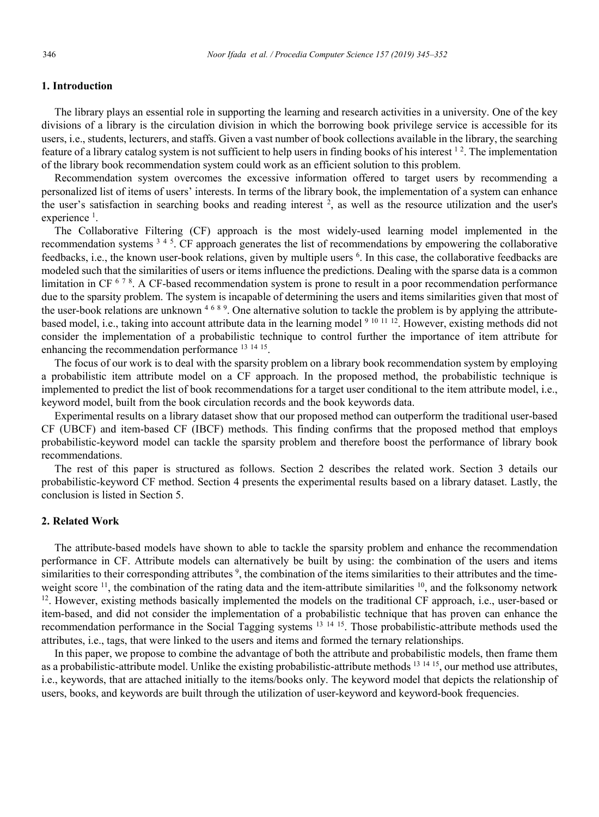# **1. Introduction**

The library plays an essential role in supporting the learning and research activities in a university. One of the key divisions of a library is the circulation division in which the borrowing book privilege service is accessible for its users, i.e., students, lecturers, and staffs. Given a vast number of book collections available in the library, the searching feature of a library catalog system is not sufficient to help users in finding books of his interest  $12$ . The implementation of the library book recommendation system could work as an efficient solution to this problem.

Recommendation system overcomes the excessive information offered to target users by recommending a personalized list of items of users' interests. In terms of the library book, the implementation of a system can enhance the user's satisfaction in searching books and reading interest <sup>2</sup>, as well as the resource utilization and the user's experience<sup>1</sup>.

The Collaborative Filtering (CF) approach is the most widely-used learning model implemented in the recommendation systems <sup>3 4 5</sup>. CF approach generates the list of recommendations by empowering the collaborative feedbacks, i.e., the known user-book relations, given by multiple users <sup>6</sup>. In this case, the collaborative feedbacks are modeled such that the similarities of users or items influence the predictions. Dealing with the sparse data is a common limitation in CF  $678$ . A CF-based recommendation system is prone to result in a poor recommendation performance due to the sparsity problem. The system is incapable of determining the users and items similarities given that most of the user-book relations are unknown <sup>4689</sup>. One alternative solution to tackle the problem is by applying the attributebased model, i.e., taking into account attribute data in the learning model <sup>9 10 11 12</sup>. However, existing methods did not consider the implementation of a probabilistic technique to control further the importance of item attribute for enhancing the recommendation performance <sup>13</sup> <sup>14</sup> 15.

The focus of our work is to deal with the sparsity problem on a library book recommendation system by employing a probabilistic item attribute model on a CF approach. In the proposed method, the probabilistic technique is implemented to predict the list of book recommendations for a target user conditional to the item attribute model, i.e., keyword model, built from the book circulation records and the book keywords data.

Experimental results on a library dataset show that our proposed method can outperform the traditional user-based CF (UBCF) and item-based CF (IBCF) methods. This finding confirms that the proposed method that employs probabilistic-keyword model can tackle the sparsity problem and therefore boost the performance of library book recommendations.

The rest of this paper is structured as follows. Section 2 describes the related work. Section 3 details our probabilistic-keyword CF method. Section 4 presents the experimental results based on a library dataset. Lastly, the conclusion is listed in Section 5.

# **2. Related Work**

The attribute-based models have shown to able to tackle the sparsity problem and enhance the recommendation performance in CF. Attribute models can alternatively be built by using: the combination of the users and items similarities to their corresponding attributes<sup>9</sup>, the combination of the items similarities to their attributes and the timeweight score  $^{11}$ , the combination of the rating data and the item-attribute similarities  $^{10}$ , and the folksonomy network  $12$ . However, existing methods basically implemented the models on the traditional CF approach, i.e., user-based or item-based, and did not consider the implementation of a probabilistic technique that has proven can enhance the recommendation performance in the Social Tagging systems <sup>13</sup> <sup>14</sup> 15. Those probabilistic-attribute methods used the attributes, i.e., tags, that were linked to the users and items and formed the ternary relationships.

In this paper, we propose to combine the advantage of both the attribute and probabilistic models, then frame them as a probabilistic-attribute model. Unlike the existing probabilistic-attribute methods <sup>13 14 15</sup>, our method use attributes, i.e., keywords, that are attached initially to the items/books only. The keyword model that depicts the relationship of users, books, and keywords are built through the utilization of user-keyword and keyword-book frequencies.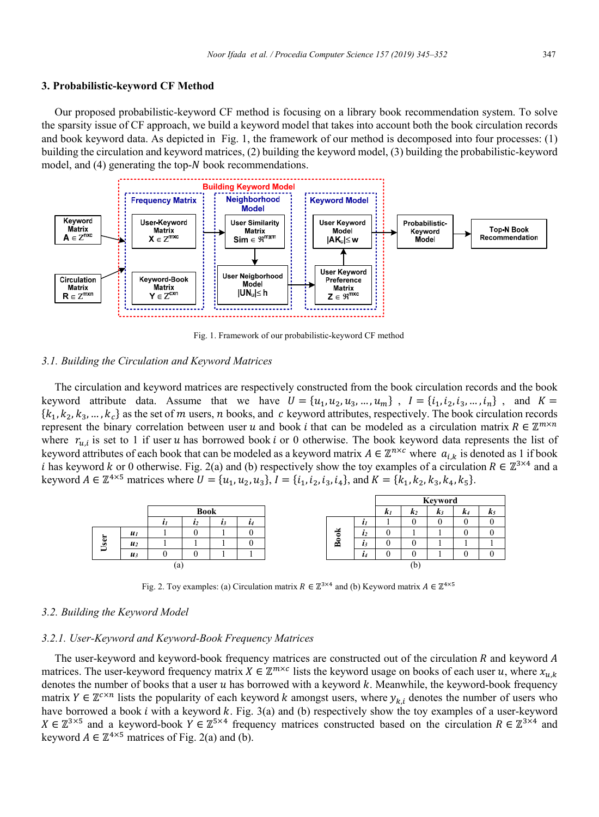#### 3. Probabilistic-keyword CF Method

Our proposed probabilistic-keyword CF method is focusing on a library book recommendation system. To solve the sparsity issue of CF approach, we build a keyword model that takes into account both the book circulation records and book keyword data. As depicted in Fig. 1, the framework of our method is decomposed into four processes: (1) building the circulation and keyword matrices, (2) building the keyword model, (3) building the probabilistic-keyword model, and (4) generating the top-N book recommendations.



Fig. 1. Framework of our probabilistic-keyword CF method

#### 3.1. Building the Circulation and Keyword Matrices

The circulation and keyword matrices are respectively constructed from the book circulation records and the book keyword attribute data. Assume that we have  $U = \{u_1, u_2, u_3, ..., u_m\}$ ,  $I = \{i_1, i_2, i_3, ..., i_n\}$ , and  $K =$  ${k_1, k_2, k_3, ..., k_c}$  as the set of m users, n books, and c keyword attributes, respectively. The book circulation records represent the binary correlation between user u and book i that can be modeled as a circulation matrix  $R \in \mathbb{Z}^{m \times n}$ where  $r_{i,j}$  is set to 1 if user u has borrowed book i or 0 otherwise. The book keyword data represents the list of keyword attributes of each book that can be modeled as a keyword matrix  $A \in \mathbb{Z}^{n \times c}$  where  $a_{i,k}$  is denoted as 1 if book i has keyword k or 0 otherwise. Fig. 2(a) and (b) respectively show the toy examples of a circulation  $R \in \mathbb{Z}^{3 \times 4}$  and a keyword  $A \in \mathbb{Z}^{4\times 5}$  matrices where  $U = \{u_1, u_2, u_3\}$ ,  $I = \{i_1, i_2, i_3, i_4\}$ , and  $K = \{k_1, k_2, k_3, k_4, k_5\}$ .

|                         |                    |    |             |    |           |                   |         | Keyword |     |    |    |     |
|-------------------------|--------------------|----|-------------|----|-----------|-------------------|---------|---------|-----|----|----|-----|
|                         |                    |    | <b>Book</b> |    |           |                   |         | K1      | K2  | K3 | K4 | n 3 |
|                         |                    |    | $\iota_2$   | ı. | $\iota_4$ |                   | U       |         |     |    |    |     |
|                         | $\boldsymbol{u}_I$ |    |             |    |           | м                 | l2      |         |     |    |    |     |
| $\overline{\mathbf{u}}$ | $\boldsymbol{u}_2$ |    |             |    |           | $\overline{B}$ od | ı.      |         |     |    |    |     |
|                         | $u_3$              |    |             |    |           |                   | $\iota$ |         |     |    |    |     |
|                         |                    | tа |             |    |           |                   |         |         | (b) |    |    |     |

Fig. 2. Toy examples: (a) Circulation matrix  $R \in \mathbb{Z}^{3 \times 4}$  and (b) Keyword matrix  $A \in \mathbb{Z}^{4 \times 5}$ 

#### 3.2. Building the Keyword Model

## 3.2.1. User-Keyword and Keyword-Book Frequency Matrices

The user-keyword and keyword-book frequency matrices are constructed out of the circulation  $R$  and keyword  $A$ matrices. The user-keyword frequency matrix  $X \in \mathbb{Z}^{m \times c}$  lists the keyword usage on books of each user u, where  $x_{u,k}$ denotes the number of books that a user  $u$  has borrowed with a keyword  $k$ . Meanwhile, the keyword-book frequency matrix  $Y \in \mathbb{Z}^{c \times n}$  lists the popularity of each keyword k amongst users, where  $y_{k,i}$  denotes the number of users who have borrowed a book  $i$  with a keyword  $k$ . Fig. 3(a) and (b) respectively show the toy examples of a user-keyword  $X \in \mathbb{Z}^{3\times 5}$  and a keyword-book  $Y \in \mathbb{Z}^{5\times 4}$  frequency matrices constructed based on the circulation  $R \in \mathbb{Z}^{3\times 4}$  and keyword  $A \in \mathbb{Z}^{4 \times 5}$  matrices of Fig. 2(a) and (b).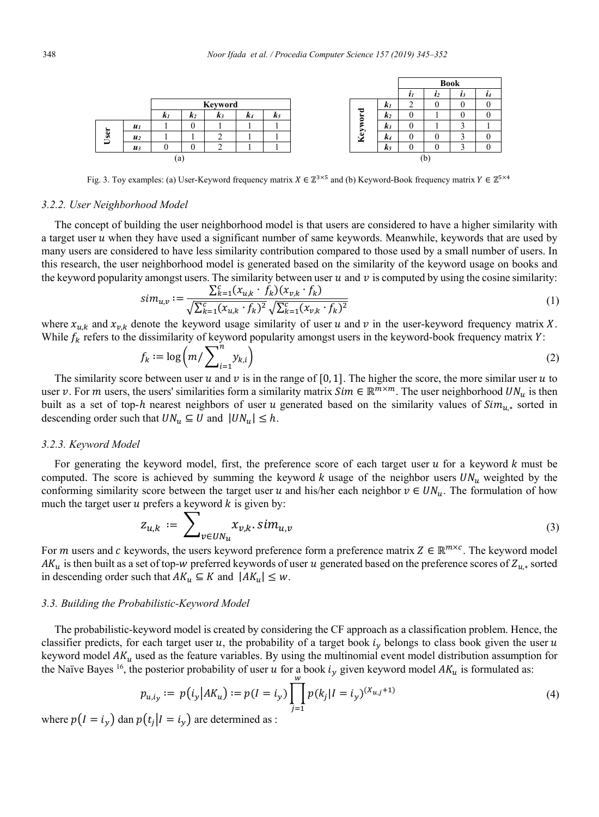

Fig. 3. Toy examples: (a) User-Keyword frequency matrix  $X \in \mathbb{Z}^{3\times 5}$  and (b) Keyword-Book frequency matrix  $Y \in \mathbb{Z}^{5\times 4}$ 

#### 3.2.2. User Neighborhood Model

The concept of building the user neighborhood model is that users are considered to have a higher similarity with a target user u when they have used a significant number of same keywords. Meanwhile, keywords that are used by many users are considered to have less similarity contribution compared to those used by a small number of users. In this research, the user neighborhood model is generated based on the similarity of the keyword usage on books and the keyword popularity amongst users. The similarity between user  $u$  and  $v$  is computed by using the cosine similarity:

$$
sim_{u,v} := \frac{\sum_{k=1}^{c} (x_{u,k} \cdot f_k)(x_{v,k} \cdot f_k)}{\sqrt{\sum_{k=1}^{c} (x_{u,k} \cdot f_k)^2} \sqrt{\sum_{k=1}^{c} (x_{v,k} \cdot f_k)^2}}
$$
(1)

where  $x_{u,k}$  and  $x_{v,k}$  denote the keyword usage similarity of user u and v in the user-keyword frequency matrix X. While  $f_k$  refers to the dissimilarity of keyword popularity amongst users in the keyword-book frequency matrix Y:

$$
f_k := \log \left( m / \sum_{i=1}^n y_{k,i} \right) \tag{2}
$$

The similarity score between user u and v is in the range of [0, 1]. The higher the score, the more similar user u to user v. For m users, the users' similarities form a similarity matrix  $Sim \in \mathbb{R}^{m \times m}$ . The user neighborhood  $UN_u$  is then built as a set of top-h nearest neighbors of user u generated based on the similarity values of  $Sim_{u,*}$  sorted in descending order such that  $UN_u \subseteq U$  and  $|UN_u| \leq h$ .

# 3.2.3. Keyword Model

For generating the keyword model, first, the preference score of each target user  $u$  for a keyword  $k$  must be computed. The score is achieved by summing the keyword k usage of the neighbor users  $UN_u$  weighted by the conforming similarity score between the target user u and his/her each neighbor  $v \in UN_u$ . The formulation of how much the target user u prefers a keyword  $k$  is given by:

$$
z_{u,k} := \sum_{v \in UN_u} x_{v,k} \cdot sim_{u,v} \tag{3}
$$

For m users and c keywords, the users keyword preference form a preference matrix  $Z \in \mathbb{R}^{m \times c}$ . The keyword model  $AK_u$  is then built as a set of top-w preferred keywords of user u generated based on the preference scores of  $Z_{u,*}$  sorted in descending order such that  $AK_u \subseteq K$  and  $|AK_u| \leq w$ .

#### 3.3. Building the Probabilistic-Keyword Model

The probabilistic-keyword model is created by considering the CF approach as a classification problem. Hence, the classifier predicts, for each target user u, the probability of a target book  $i<sub>v</sub>$  belongs to class book given the user u keyword model  $AK_u$  used as the feature variables. By using the multinomial event model distribution assumption for the Naïve Bayes <sup>16</sup>, the posterior probability of user u for a book  $i_y$  given keyword model  $AK_u$  is formulated as:

$$
p_{u,i_y} := p(i_y | AK_u) := p(I = i_y) \prod_{j=1}^{w} p(k_j | I = i_y)^{(X_{u,j}+1)}
$$
(4)

where  $p(I = i_y)$  dan  $p(t_i | I = i_y)$  are determined as :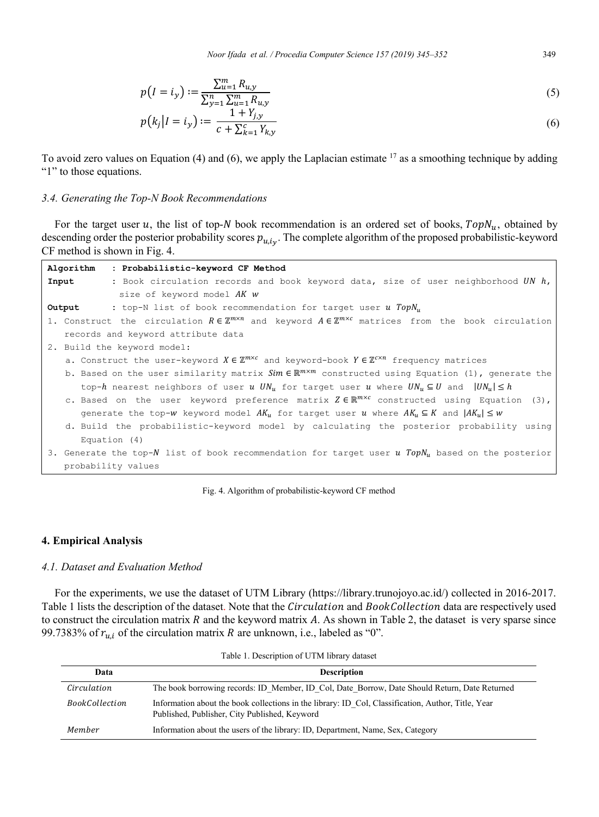Noor Ifada et al. / Procedia Computer Science 157 (2019) 345-352

$$
p(I = i_y) := \frac{\sum_{u=1}^{m} R_{u,y}}{\sum_{v=1}^{n} \sum_{u=1}^{m} R_{u,y}}
$$
(5)

$$
p(k_j|I = i_y) := \frac{1 + Y_{j,y}}{c + \sum_{k=1}^{c} Y_{k,y}}
$$
(6)

To avoid zero values on Equation (4) and (6), we apply the Laplacian estimate  $17$  as a smoothing technique by adding "1" to those equations.

## 3.4. Generating the Top-N Book Recommendations

For the target user u, the list of top-N book recommendation is an ordered set of books,  $TopN_u$ , obtained by descending order the posterior probability scores  $p_{u,i_v}$ . The complete algorithm of the proposed probabilistic-keyword CF method is shown in Fig. 4.

| Algorithm<br>: Probabilistic-keyword CF Method                                                                                              |
|---------------------------------------------------------------------------------------------------------------------------------------------|
| Input<br>: Book circulation records and book keyword data, size of user neighborhood UN $h$ ,                                               |
| size of keyword model AK w                                                                                                                  |
| : top-N list of book recommendation for target user u $TopN_{u}$<br>Output                                                                  |
| 1. Construct the circulation $R \in \mathbb{Z}^{m \times n}$ and keyword $A \in \mathbb{Z}^{m \times c}$ matrices from the book circulation |
| records and keyword attribute data                                                                                                          |
| 2. Build the keyword model:                                                                                                                 |
| a. Construct the user-keyword $X \in \mathbb{Z}^{m \times c}$ and keyword-book $Y \in \mathbb{Z}^{c \times n}$ frequency matrices           |
| b. Based on the user similarity matrix $Sim \in \mathbb{R}^{m \times m}$ constructed using Equation (1), generate the                       |
| top-h nearest neighbors of user u $UN_{\nu}$ for target user u where $UN_{\nu} \subseteq U$ and $ UN_{\nu}  \leq h$                         |
| c. Based on the user keyword preference matrix $Z \in \mathbb{R}^{m \times c}$ constructed using Equation (3),                              |
| generate the top-w keyword model $AK_u$ for target user u where $AK_u \subseteq K$ and $ AK_u  \leq w$                                      |
| d. Build the probabilistic-keyword model by calculating the posterior probability using                                                     |
| Equation (4)                                                                                                                                |
| 3. Generate the top-N list of book recommendation for target user u $TopNu$ based on the posterior                                          |
| probability values                                                                                                                          |

Fig. 4. Algorithm of probabilistic-keyword CF method

# 4. Empirical Analysis

# 4.1. Dataset and Evaluation Method

For the experiments, we use the dataset of UTM Library (https://library.trunojoyo.ac.id/) collected in 2016-2017. Table 1 lists the description of the dataset. Note that the Circulation and BookCollection data are respectively used to construct the circulation matrix  $R$  and the keyword matrix  $A$ . As shown in Table 2, the dataset is very sparse since 99.7383% of  $r_{u,i}$  of the circulation matrix R are unknown, i.e., labeled as "0".

| Data                  | <b>Description</b>                                                                                                                                  |
|-----------------------|-----------------------------------------------------------------------------------------------------------------------------------------------------|
| Circulation           | The book borrowing records: ID Member, ID Col, Date Borrow, Date Should Return, Date Returned                                                       |
| <i>BookCollection</i> | Information about the book collections in the library: ID Col, Classification, Author, Title, Year<br>Published, Publisher, City Published, Keyword |
| Member                | Information about the users of the library: ID, Department, Name, Sex, Category                                                                     |

Table 1. Description of UTM library dataset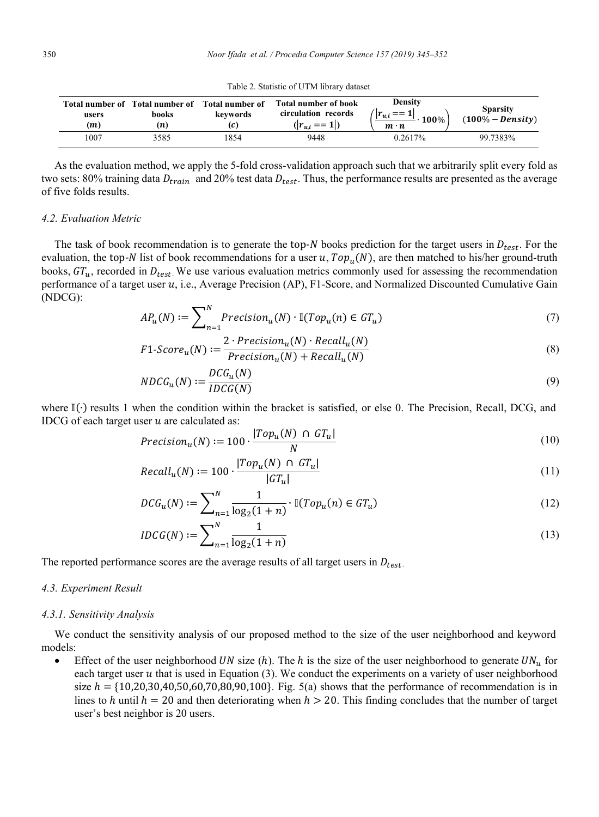| Table 2. Statistic of UTM library dataset |  |  |  |  |  |  |  |
|-------------------------------------------|--|--|--|--|--|--|--|
|-------------------------------------------|--|--|--|--|--|--|--|

| users<br>(m) | Total number of Total number of Total number of<br>books<br>(n) | keywords | Total number of book<br>circulation records<br>$( r_{u,i} == 1 )$ | <b>Density</b><br>$^{\prime} u_{\cdot} i$<br>100%<br>$m \cdot n$ | <b>Sparsity</b><br>$(100\% - Density)$ |
|--------------|-----------------------------------------------------------------|----------|-------------------------------------------------------------------|------------------------------------------------------------------|----------------------------------------|
| 1007         | 3585                                                            | 854      | 9448                                                              | 0.2617%                                                          | 99.7383%                               |

As the evaluation method, we apply the 5-fold cross-validation approach such that we arbitrarily split every fold as two sets: 80% training data  $D_{train}$  and 20% test data  $D_{test}$ . Thus, the performance results are presented as the average of five folds results.

## 4.2. Evaluation Metric

The task of book recommendation is to generate the top-N books prediction for the target users in  $D_{test}$ . For the evaluation, the top-N list of book recommendations for a user u,  $Top_u(N)$ , are then matched to his/her ground-truth books,  $GT_u$ , recorded in  $D_{test}$ . We use various evaluation metrics commonly used for assessing the recommendation performance of a target user u, i.e., Average Precision (AP), F1-Score, and Normalized Discounted Cumulative Gain  $(NDCG)$ :

$$
AP_u(N) := \sum_{n=1}^{N} Precision_u(N) \cdot \mathbb{I}(Top_u(n) \in GT_u)
$$
\n<sup>(7)</sup>

$$
F1\text{-}Score_u(N) := \frac{2 \cdot Precision_u(N) \cdot Recall_u(N)}{Precision_u(N) + Recall_u(N)}
$$
\n
$$
(8)
$$

$$
NDCG_u(N) := \frac{DCG_u(N)}{IDCG(N)}\tag{9}
$$

where  $\mathbb{I}(\cdot)$  results 1 when the condition within the bracket is satisfied, or else 0. The Precision, Recall, DCG, and IDCG of each target user  $u$  are calculated as:

$$
Precision_u(N) := 100 \cdot \frac{|Top_u(N) \cap GT_u|}{N}
$$
\n(10)

$$
Recall_u(N) := 100 \cdot \frac{|Top_u(N) \cap GT_u|}{|GT_u|} \tag{11}
$$

$$
DCG_u(N) := \sum_{n=1}^{N} \frac{1}{\log_2(1+n)} \cdot \mathbb{I}(Top_u(n) \in GT_u)
$$
 (12)

$$
IDCG(N) := \sum_{n=1}^{N} \frac{1}{\log_2(1+n)}
$$
\n(13)

The reported performance scores are the average results of all target users in  $D_{test}$ .

## 4.3. Experiment Result

#### 4.3.1. Sensitivity Analysis

We conduct the sensitivity analysis of our proposed method to the size of the user neighborhood and keyword models:

Effect of the user neighborhood UN size (h). The h is the size of the user neighborhood to generate  $UN_u$  for each target user  $u$  that is used in Equation (3). We conduct the experiments on a variety of user neighborhood size  $h = \{10,20,30,40,50,60,70,80,90,100\}$ . Fig. 5(a) shows that the performance of recommendation is in lines to h until  $h = 20$  and then deteriorating when  $h > 20$ . This finding concludes that the number of target user's best neighbor is 20 users.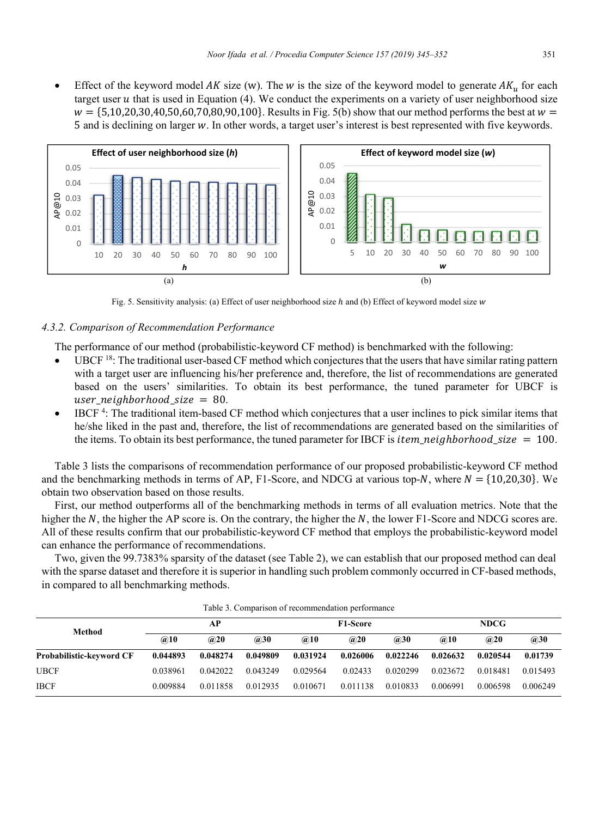Effect of the keyword model AK size (w). The w is the size of the keyword model to generate  $AK_u$  for each target user  $u$  that is used in Equation (4). We conduct the experiments on a variety of user neighborhood size  $W = \{5,10,20,30,40,50,60,70,80,90,100\}$ . Results in Fig. 5(b) show that our method performs the best at  $W =$ 5 and is declining on larger �. In other words, a target user's interest is best represented with five keywords.



Fig. 5. Sensitivity analysis: (a) Effect of user neighborhood size h and (b) Effect of keyword model size w

# *4.3.2. Comparison of Recommendation Performance*

The performance of our method (probabilistic-keyword CF method) is benchmarked with the following:

- UBCF 18: The traditional user-based CF method which conjectures that the users that have similar rating pattern with a target user are influencing his/her preference and, therefore, the list of recommendations are generated based on the users' similarities. To obtain its best performance, the tuned parameter for UBCF is user neighborhood size = 80.
- $\bullet$  IBCF<sup>4</sup>: The traditional item-based CF method which conjectures that a user inclines to pick similar items that he/she liked in the past and, therefore, the list of recommendations are generated based on the similarities of the items. To obtain its best performance, the tuned parameter for IBCF is  $item\_neighborhood\_size = 100$ .

Table 3 lists the comparisons of recommendation performance of our proposed probabilistic-keyword CF method and the benchmarking methods in terms of AP, F1-Score, and NDCG at various top-N, where  $N = \{10,20,30\}$ . We obtain two observation based on those results.

First, our method outperforms all of the benchmarking methods in terms of all evaluation metrics. Note that the higher the  $N$ , the higher the AP score is. On the contrary, the higher the  $N$ , the lower F1-Score and NDCG scores are. All of these results confirm that our probabilistic-keyword CF method that employs the probabilistic-keyword model can enhance the performance of recommendations.

Two, given the 99.7383% sparsity of the dataset (see Table 2), we can establish that our proposed method can deal with the sparse dataset and therefore it is superior in handling such problem commonly occurred in CF-based methods, in compared to all benchmarking methods.

|                          |          |          |          | Tuolo 9: Comparison of recommendation performance |                 |          |             |          |          |
|--------------------------|----------|----------|----------|---------------------------------------------------|-----------------|----------|-------------|----------|----------|
| Method                   |          | АP       |          |                                                   | <b>F1-Score</b> |          | <b>NDCG</b> |          |          |
|                          | @10      | @20      | @30      | @10                                               | @20             | @30      | @10         | @20      | @30      |
| Probabilistic-keyword CF | 0.044893 | 0.048274 | 0.049809 | 0.031924                                          | 0.026006        | 0.022246 | 0.026632    | 0.020544 | 0.01739  |
| <b>UBCF</b>              | 0.038961 | 0.042022 | 0.043249 | 0.029564                                          | 0.02433         | 0.020299 | 0.023672    | 0.018481 | 0.015493 |
| <b>IBCF</b>              | 0.009884 | 0.011858 | 0.012935 | 0.010671                                          | 0.011138        | 0.010833 | 0.006991    | 0.006598 | 0.006249 |

Table 3. Comparison of recommendation performance